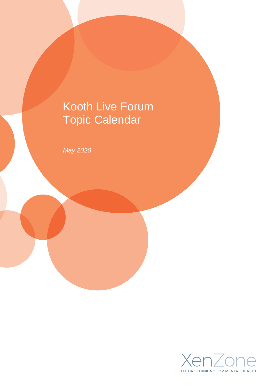# Kooth Live Forum Topic Calendar

*May 2020*